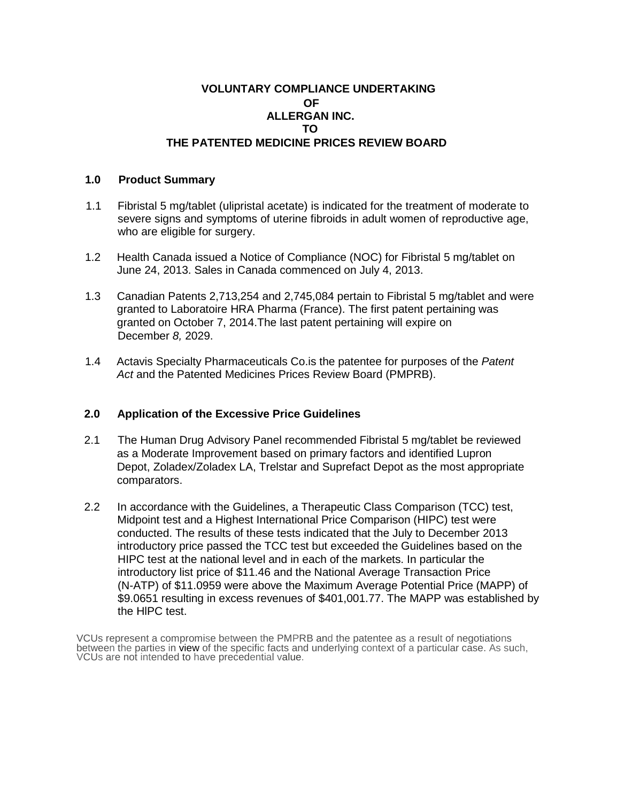# **VOLUNTARY COMPLIANCE UNDERTAKING OF ALLERGAN INC. TO THE PATENTED MEDICINE PRICES REVIEW BOARD**

### **1.0 Product Summary**

- 1.1 Fibristal 5 mg/tablet (ulipristal acetate) is indicated for the treatment of moderate to severe signs and symptoms of uterine fibroids in adult women of reproductive age, who are eligible for surgery.
- 1.2 Health Canada issued a Notice of Compliance (NOC) for Fibristal 5 mg/tablet on June 24, 2013. Sales in Canada commenced on July 4, 2013.
- 1.3 Canadian Patents 2,713,254 and 2,745,084 pertain to Fibristal 5 mg/tablet and were granted to Laboratoire HRA Pharma (France). The first patent pertaining was granted on October 7, 2014.The last patent pertaining will expire on December *8,* 2029.
- 1.4 Actavis Specialty Pharmaceuticals Co.is the patentee for purposes of the *Patent*  Act and the Patented Medicines Prices Review Board (PMPRB).

## **2.0 Application of the Excessive Price Guidelines**

- 2.1 The Human Drug Advisory Panel recommended Fibristal 5 mg/tablet be reviewed as a Moderate Improvement based on primary factors and identified Lupron Depot, Zoladex/Zoladex LA, Trelstar and Suprefact Depot as the most appropriate comparators.
- 2.2 In accordance with the Guidelines, a Therapeutic Class Comparison (TCC) test, Midpoint test and a Highest International Price Comparison (HIPC) test were conducted. The results of these tests indicated that the July to December 2013 introductory price passed the TCC test but exceeded the Guidelines based on the HIPC test at the national level and in each of the markets. In particular the introductory list price of \$11.46 and the National Average Transaction Price (N-ATP) of \$11.0959 were above the Maximum Average Potential Price (MAPP) of \$9.0651 resulting in excess revenues of \$401,001.77. The MAPP was established by the HlPC test.

VCUs represent a compromise between the PMPRB and the patentee as a result of negotiations between the parties in view of the specific facts and underlying context of a particular case. As such, VCUs are not intended to have precedential value.